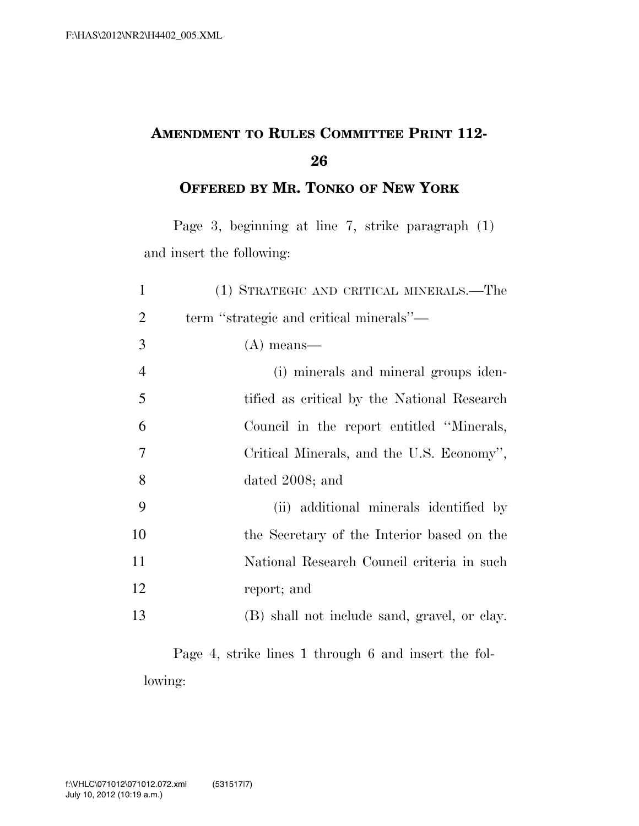## **AMENDMENT TO RULES COMMITTEE PRINT 112-**

**OFFERED BY MR. TONKO OF NEW YORK**

Page 3, beginning at line 7, strike paragraph (1) and insert the following:

| $\mathbf{1}$   | (1) STRATEGIC AND CRITICAL MINERALS.—The     |
|----------------|----------------------------------------------|
| $\overline{2}$ | term "strategic and critical minerals"—      |
| 3              | $(A)$ means—                                 |
| $\overline{4}$ | (i) minerals and mineral groups iden-        |
| 5              | tified as critical by the National Research  |
| 6              | Council in the report entitled "Minerals,    |
| 7              | Critical Minerals, and the U.S. Economy",    |
| 8              | dated 2008; and                              |
| 9              | (ii) additional minerals identified by       |
| 10             | the Secretary of the Interior based on the   |
| 11             | National Research Council criteria in such   |
| 12             | report; and                                  |
| 13             | (B) shall not include sand, gravel, or clay. |

Page 4, strike lines 1 through 6 and insert the following: